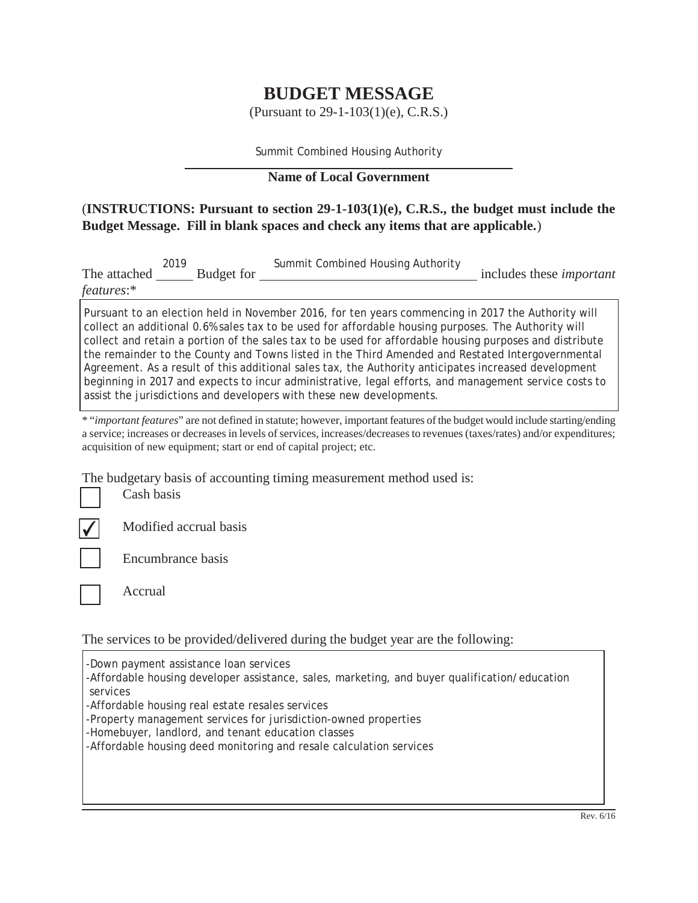## **BUDGET MESSAGE**

(Pursuant to 29-1-103(1)(e), C.R.S.)

Summit Combined Housing Authority

## **Name of Local Government**

## (**INSTRUCTIONS: Pursuant to section 29-1-103(1)(e), C.R.S., the budget must include the Budget Message. Fill in blank spaces and check any items that are applicable.**)

| The attached | 2019 | Budget for | Summit Combined Housing Authority                                                                  | includes these <i>important</i> |
|--------------|------|------------|----------------------------------------------------------------------------------------------------|---------------------------------|
| features:    |      |            |                                                                                                    |                                 |
|              |      |            | Pursuant to an election held in November 2016, for ten years commencing in 2017 the Authority will |                                 |

collect an additional 0.6% sales tax to be used for affordable housing purposes. The Authority will collect and retain a portion of the sales tax to be used for affordable housing purposes and distribute the remainder to the County and Towns listed in the Third Amended and Restated Intergovernmental Agreement. As a result of this additional sales tax, the Authority anticipates increased development beginning in 2017 and expects to incur administrative, legal efforts, and management service costs to assist the jurisdictions and developers with these new developments.

\* "*important features*" are not defined in statute; however, important features of the budget would include starting/ending a service; increases or decreases in levels of services, increases/decreases to revenues (taxes/rates) and/or expenditures; acquisition of new equipment; start or end of capital project; etc.

The budgetary basis of accounting timing measurement method used is:

Cash basis



Modified accrual basis

Encumbrance basis



Accrual

The services to be provided/delivered during the budget year are the following:

-Down payment assistance loan services -Affordable housing developer assistance, sales, marketing, and buyer qualification/education services

-Affordable housing real estate resales services

-Property management services for jurisdiction-owned properties

-Homebuyer, landlord, and tenant education classes

-Affordable housing deed monitoring and resale calculation services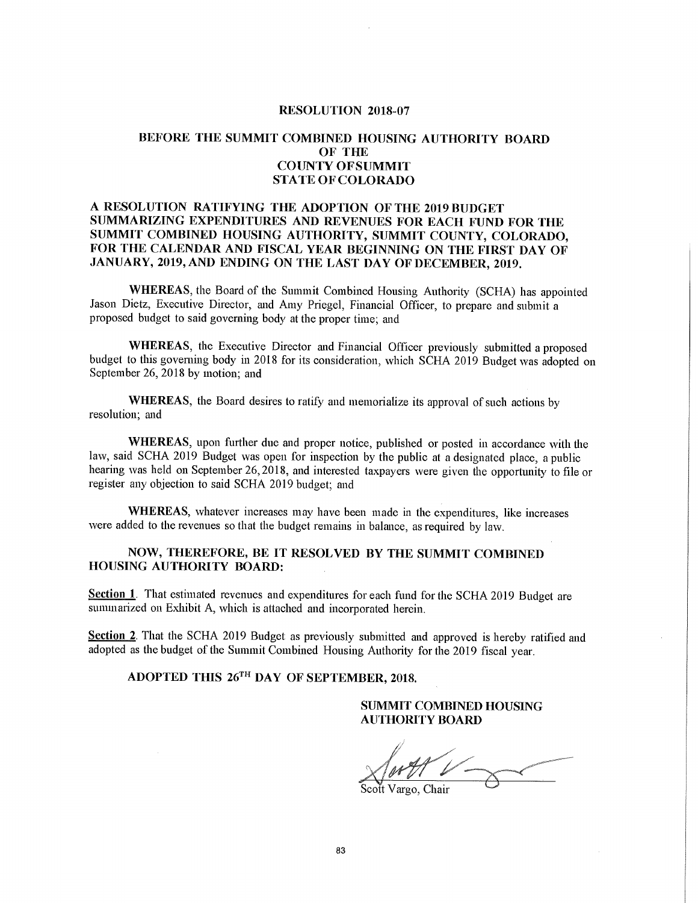#### **RESOLUTION 2018-07**

### BEFORE THE SUMMIT COMBINED HOUSING AUTHORITY BOARD **OF THE COUNTY OFSUMMIT STATE OF COLORADO**

#### A RESOLUTION RATIFYING THE ADOPTION OF THE 2019 BUDGET SUMMARIZING EXPENDITURES AND REVENUES FOR EACH FUND FOR THE SUMMIT COMBINED HOUSING AUTHORITY, SUMMIT COUNTY, COLORADO, FOR THE CALENDAR AND FISCAL YEAR BEGINNING ON THE FIRST DAY OF JANUARY, 2019, AND ENDING ON THE LAST DAY OF DECEMBER, 2019.

WHEREAS, the Board of the Summit Combined Housing Authority (SCHA) has appointed Jason Dietz, Executive Director, and Amy Priegel, Financial Officer, to prepare and submit a proposed budget to said governing body at the proper time; and

WHEREAS, the Executive Director and Financial Officer previously submitted a proposed budget to this governing body in 2018 for its consideration, which SCHA 2019 Budget was adopted on September 26, 2018 by motion; and

WHEREAS, the Board desires to ratify and memorialize its approval of such actions by resolution; and

WHEREAS, upon further due and proper notice, published or posted in accordance with the law, said SCHA 2019 Budget was open for inspection by the public at a designated place, a public hearing was held on September 26, 2018, and interested taxpayers were given the opportunity to file or register any objection to said SCHA 2019 budget; and

WHEREAS, whatever increases may have been made in the expenditures, like increases were added to the revenues so that the budget remains in balance, as required by law.

#### NOW, THEREFORE, BE IT RESOLVED BY THE SUMMIT COMBINED **HOUSING AUTHORITY BOARD:**

Section 1. That estimated revenues and expenditures for each fund for the SCHA 2019 Budget are summarized on Exhibit A, which is attached and incorporated herein.

Section 2. That the SCHA 2019 Budget as previously submitted and approved is hereby ratified and adopted as the budget of the Summit Combined Housing Authority for the 2019 fiscal year.

## ADOPTED THIS 26TH DAY OF SEPTEMBER, 2018.

### **SUMMIT COMBINED HOUSING AUTHORITY BOARD**

Scott Vargo, Chair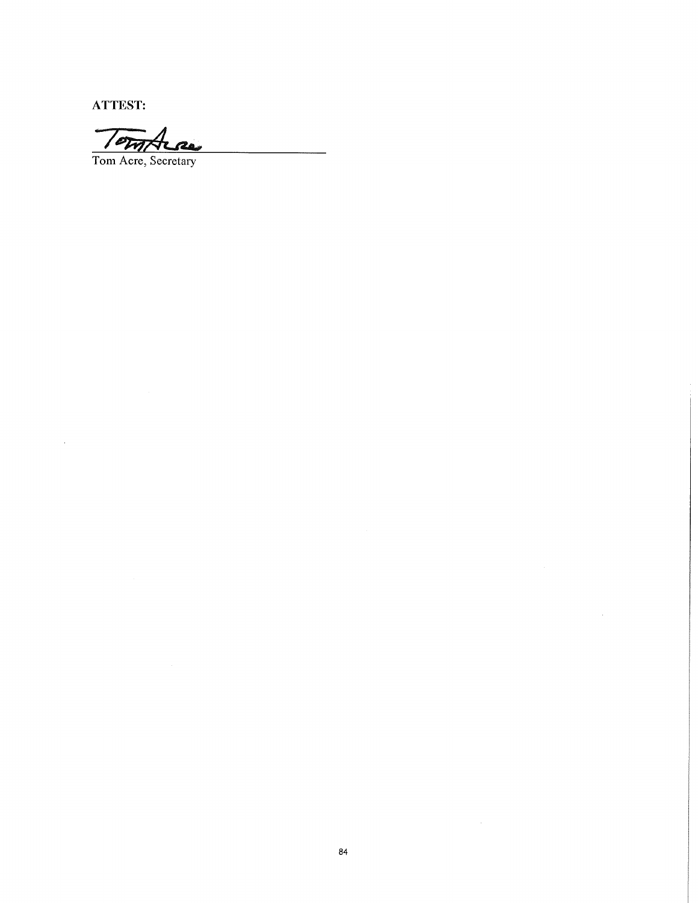**ATTEST:** 

Tome

Tom Acre, Secretary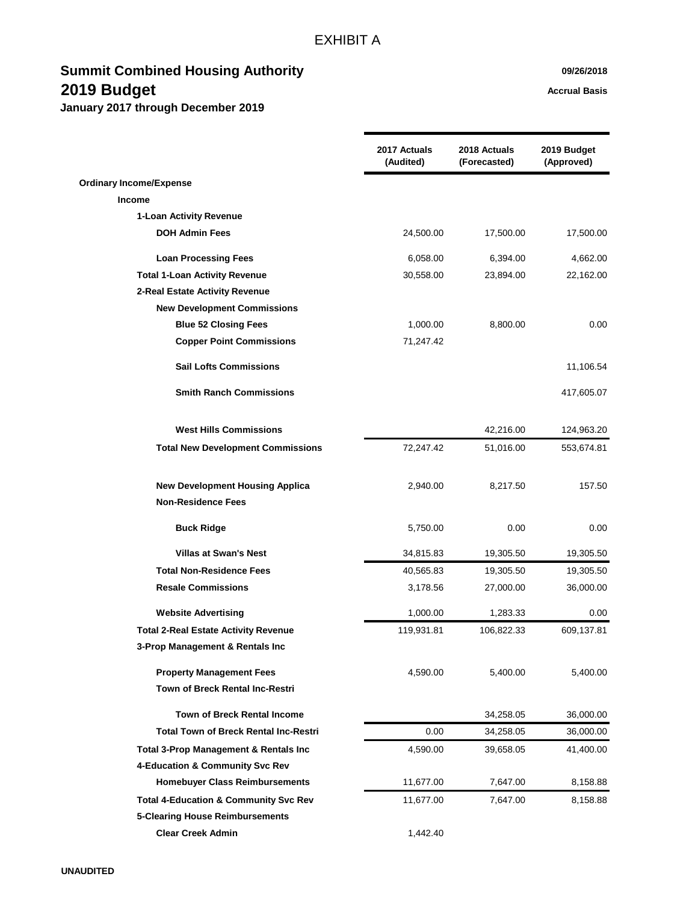|                                                  | 2017 Actuals<br>(Audited) | 2018 Actuals<br>(Forecasted) | 2019 Budget<br>(Approved) |
|--------------------------------------------------|---------------------------|------------------------------|---------------------------|
| <b>Ordinary Income/Expense</b>                   |                           |                              |                           |
| <b>Income</b>                                    |                           |                              |                           |
| 1-Loan Activity Revenue                          |                           |                              |                           |
| <b>DOH Admin Fees</b>                            | 24,500.00                 | 17,500.00                    | 17,500.00                 |
| <b>Loan Processing Fees</b>                      | 6,058.00                  | 6,394.00                     | 4,662.00                  |
| <b>Total 1-Loan Activity Revenue</b>             | 30,558.00                 | 23,894.00                    | 22,162.00                 |
| 2-Real Estate Activity Revenue                   |                           |                              |                           |
| <b>New Development Commissions</b>               |                           |                              |                           |
| <b>Blue 52 Closing Fees</b>                      | 1,000.00                  | 8,800.00                     | 0.00                      |
| <b>Copper Point Commissions</b>                  | 71,247.42                 |                              |                           |
| <b>Sail Lofts Commissions</b>                    |                           |                              | 11,106.54                 |
| <b>Smith Ranch Commissions</b>                   |                           |                              | 417,605.07                |
| <b>West Hills Commissions</b>                    |                           | 42,216.00                    | 124,963.20                |
| <b>Total New Development Commissions</b>         | 72,247.42                 | 51,016.00                    | 553,674.81                |
| <b>New Development Housing Applica</b>           | 2,940.00                  | 8,217.50                     | 157.50                    |
| <b>Non-Residence Fees</b>                        |                           |                              |                           |
| <b>Buck Ridge</b>                                | 5,750.00                  | 0.00                         | 0.00                      |
| <b>Villas at Swan's Nest</b>                     | 34,815.83                 | 19,305.50                    | 19,305.50                 |
| <b>Total Non-Residence Fees</b>                  | 40,565.83                 | 19,305.50                    | 19,305.50                 |
| <b>Resale Commissions</b>                        | 3,178.56                  | 27,000.00                    | 36,000.00                 |
| <b>Website Advertising</b>                       | 1,000.00                  | 1,283.33                     | 0.00                      |
| <b>Total 2-Real Estate Activity Revenue</b>      | 119,931.81                | 106,822.33                   | 609,137.81                |
| 3-Prop Management & Rentals Inc                  |                           |                              |                           |
| <b>Property Management Fees</b>                  | 4,590.00                  | 5,400.00                     | 5,400.00                  |
| Town of Breck Rental Inc-Restri                  |                           |                              |                           |
| <b>Town of Breck Rental Income</b>               |                           | 34,258.05                    | 36,000.00                 |
| <b>Total Town of Breck Rental Inc-Restri</b>     | 0.00                      | 34,258.05                    | 36,000.00                 |
| Total 3-Prop Management & Rentals Inc            | 4,590.00                  | 39,658.05                    | 41,400.00                 |
| 4-Education & Community Svc Rev                  |                           |                              |                           |
| <b>Homebuyer Class Reimbursements</b>            | 11,677.00                 | 7,647.00                     | 8,158.88                  |
| <b>Total 4-Education &amp; Community Svc Rev</b> | 11,677.00                 | 7,647.00                     | 8,158.88                  |
| <b>5-Clearing House Reimbursements</b>           |                           |                              |                           |
| <b>Clear Creek Admin</b>                         | 1,442.40                  |                              |                           |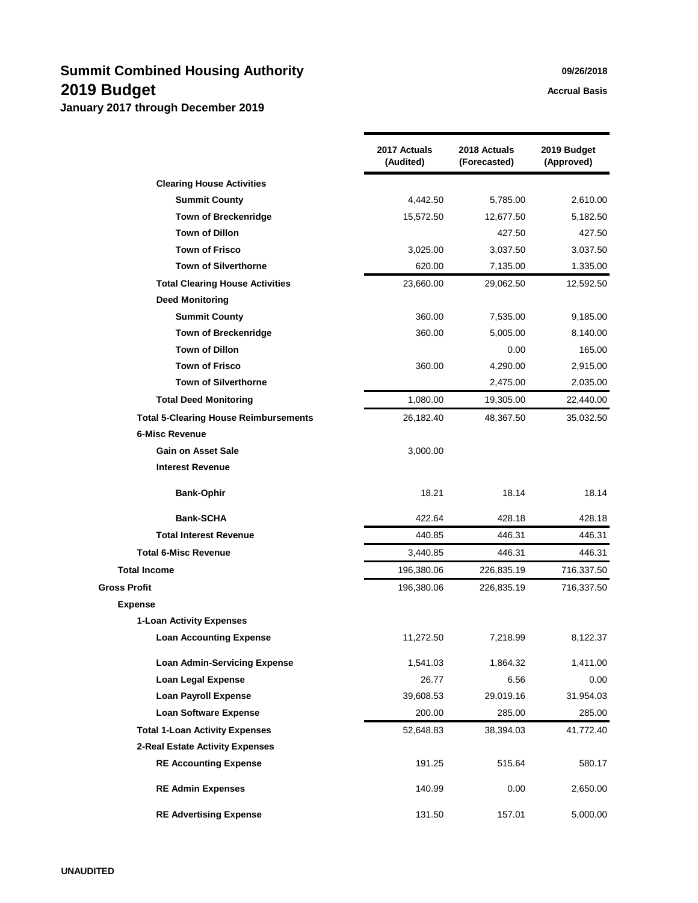|                                              | 2017 Actuals<br>(Audited) | 2018 Actuals<br>(Forecasted) | 2019 Budget<br>(Approved) |
|----------------------------------------------|---------------------------|------------------------------|---------------------------|
| <b>Clearing House Activities</b>             |                           |                              |                           |
| <b>Summit County</b>                         | 4,442.50                  | 5,785.00                     | 2,610.00                  |
| <b>Town of Breckenridge</b>                  | 15,572.50                 | 12,677.50                    | 5,182.50                  |
| <b>Town of Dillon</b>                        |                           | 427.50                       | 427.50                    |
| <b>Town of Frisco</b>                        | 3,025.00                  | 3,037.50                     | 3,037.50                  |
| <b>Town of Silverthorne</b>                  | 620.00                    | 7,135.00                     | 1,335.00                  |
| <b>Total Clearing House Activities</b>       | 23,660.00                 | 29,062.50                    | 12,592.50                 |
| <b>Deed Monitoring</b>                       |                           |                              |                           |
| <b>Summit County</b>                         | 360.00                    | 7,535.00                     | 9,185.00                  |
| <b>Town of Breckenridge</b>                  | 360.00                    | 5,005.00                     | 8,140.00                  |
| <b>Town of Dillon</b>                        |                           | 0.00                         | 165.00                    |
| <b>Town of Frisco</b>                        | 360.00                    | 4,290.00                     | 2,915.00                  |
| <b>Town of Silverthorne</b>                  |                           | 2,475.00                     | 2,035.00                  |
| <b>Total Deed Monitoring</b>                 | 1,080.00                  | 19,305.00                    | 22,440.00                 |
| <b>Total 5-Clearing House Reimbursements</b> | 26,182.40                 | 48,367.50                    | 35,032.50                 |
| <b>6-Misc Revenue</b>                        |                           |                              |                           |
| <b>Gain on Asset Sale</b>                    | 3,000.00                  |                              |                           |
| <b>Interest Revenue</b>                      |                           |                              |                           |
| <b>Bank-Ophir</b>                            | 18.21                     | 18.14                        | 18.14                     |
| <b>Bank-SCHA</b>                             | 422.64                    | 428.18                       | 428.18                    |
| <b>Total Interest Revenue</b>                | 440.85                    | 446.31                       | 446.31                    |
| <b>Total 6-Misc Revenue</b>                  | 3,440.85                  | 446.31                       | 446.31                    |
| <b>Total Income</b>                          | 196,380.06                | 226,835.19                   | 716,337.50                |
| Gross Profit                                 | 196,380.06                | 226,835.19                   | 716,337.50                |
| <b>Expense</b>                               |                           |                              |                           |
| 1-Loan Activity Expenses                     |                           |                              |                           |
| <b>Loan Accounting Expense</b>               | 11,272.50                 | 7,218.99                     | 8,122.37                  |
| <b>Loan Admin-Servicing Expense</b>          | 1,541.03                  | 1,864.32                     | 1,411.00                  |
| <b>Loan Legal Expense</b>                    | 26.77                     | 6.56                         | 0.00                      |
| <b>Loan Payroll Expense</b>                  | 39,608.53                 | 29,019.16                    | 31,954.03                 |
| <b>Loan Software Expense</b>                 | 200.00                    | 285.00                       | 285.00                    |
| <b>Total 1-Loan Activity Expenses</b>        | 52,648.83                 | 38,394.03                    | 41,772.40                 |
| 2-Real Estate Activity Expenses              |                           |                              |                           |
| <b>RE Accounting Expense</b>                 | 191.25                    | 515.64                       | 580.17                    |
| <b>RE Admin Expenses</b>                     | 140.99                    | 0.00                         | 2,650.00                  |
| <b>RE Advertising Expense</b>                | 131.50                    | 157.01                       | 5,000.00                  |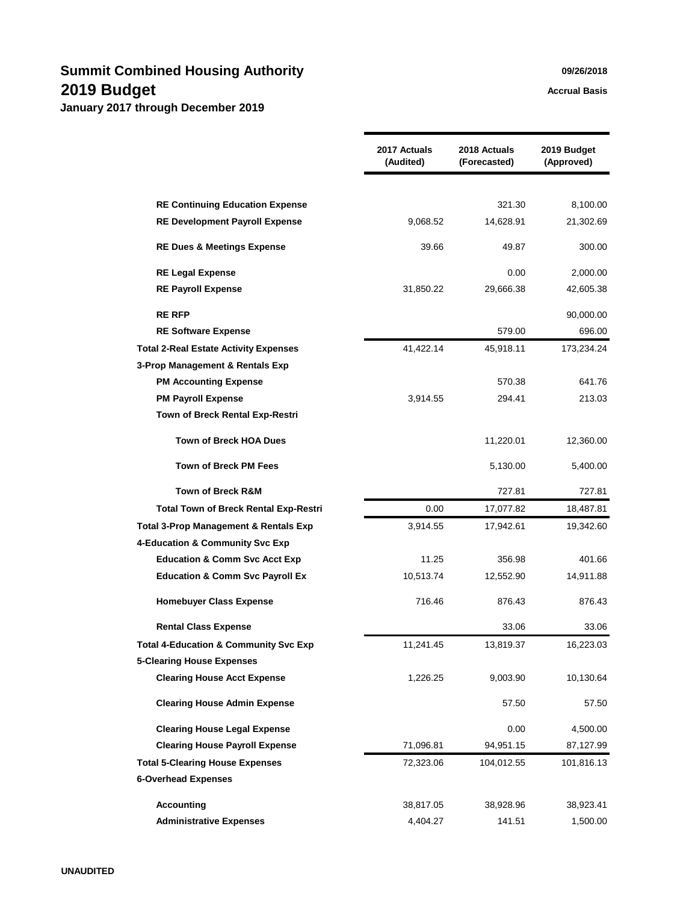|                                                  | 2017 Actuals<br>(Audited) | 2018 Actuals<br>(Forecasted) | 2019 Budget<br>(Approved) |
|--------------------------------------------------|---------------------------|------------------------------|---------------------------|
|                                                  |                           |                              |                           |
| <b>RE Continuing Education Expense</b>           |                           | 321.30                       | 8,100.00                  |
| <b>RE Development Payroll Expense</b>            | 9,068.52                  | 14,628.91                    | 21,302.69                 |
| <b>RE Dues &amp; Meetings Expense</b>            | 39.66                     | 49.87                        | 300.00                    |
| <b>RE Legal Expense</b>                          |                           | 0.00                         | 2,000.00                  |
| <b>RE Payroll Expense</b>                        | 31,850.22                 | 29,666.38                    | 42,605.38                 |
| <b>RE RFP</b>                                    |                           |                              | 90,000.00                 |
| <b>RE Software Expense</b>                       |                           | 579.00                       | 696.00                    |
| <b>Total 2-Real Estate Activity Expenses</b>     | 41,422.14                 | 45,918.11                    | 173,234.24                |
| 3-Prop Management & Rentals Exp                  |                           |                              |                           |
| <b>PM Accounting Expense</b>                     |                           | 570.38                       | 641.76                    |
| <b>PM Payroll Expense</b>                        | 3,914.55                  | 294.41                       | 213.03                    |
| Town of Breck Rental Exp-Restri                  |                           |                              |                           |
| <b>Town of Breck HOA Dues</b>                    |                           | 11,220.01                    | 12,360.00                 |
| <b>Town of Breck PM Fees</b>                     |                           | 5,130.00                     | 5,400.00                  |
| <b>Town of Breck R&amp;M</b>                     |                           | 727.81                       | 727.81                    |
| <b>Total Town of Breck Rental Exp-Restri</b>     | 0.00                      | 17,077.82                    | 18,487.81                 |
| <b>Total 3-Prop Management &amp; Rentals Exp</b> | 3,914.55                  | 17,942.61                    | 19,342.60                 |
| 4-Education & Community Svc Exp                  |                           |                              |                           |
| <b>Education &amp; Comm Svc Acct Exp</b>         | 11.25                     | 356.98                       | 401.66                    |
| <b>Education &amp; Comm Svc Payroll Ex</b>       | 10,513.74                 | 12,552.90                    | 14,911.88                 |
| <b>Homebuyer Class Expense</b>                   | 716.46                    | 876.43                       | 876.43                    |
| <b>Rental Class Expense</b>                      |                           | 33.06                        | 33.06                     |
| <b>Total 4-Education &amp; Community Svc Exp</b> | 11,241.45                 | 13,819.37                    | 16,223.03                 |
| <b>5-Clearing House Expenses</b>                 |                           |                              |                           |
| <b>Clearing House Acct Expense</b>               | 1,226.25                  | 9,003.90                     | 10,130.64                 |
| <b>Clearing House Admin Expense</b>              |                           | 57.50                        | 57.50                     |
| <b>Clearing House Legal Expense</b>              |                           | 0.00                         | 4,500.00                  |
| <b>Clearing House Payroll Expense</b>            | 71,096.81                 | 94,951.15                    | 87,127.99                 |
| <b>Total 5-Clearing House Expenses</b>           | 72,323.06                 | 104,012.55                   | 101,816.13                |
| <b>6-Overhead Expenses</b>                       |                           |                              |                           |
| <b>Accounting</b>                                | 38,817.05                 | 38,928.96                    | 38,923.41                 |
| <b>Administrative Expenses</b>                   | 4,404.27                  | 141.51                       | 1,500.00                  |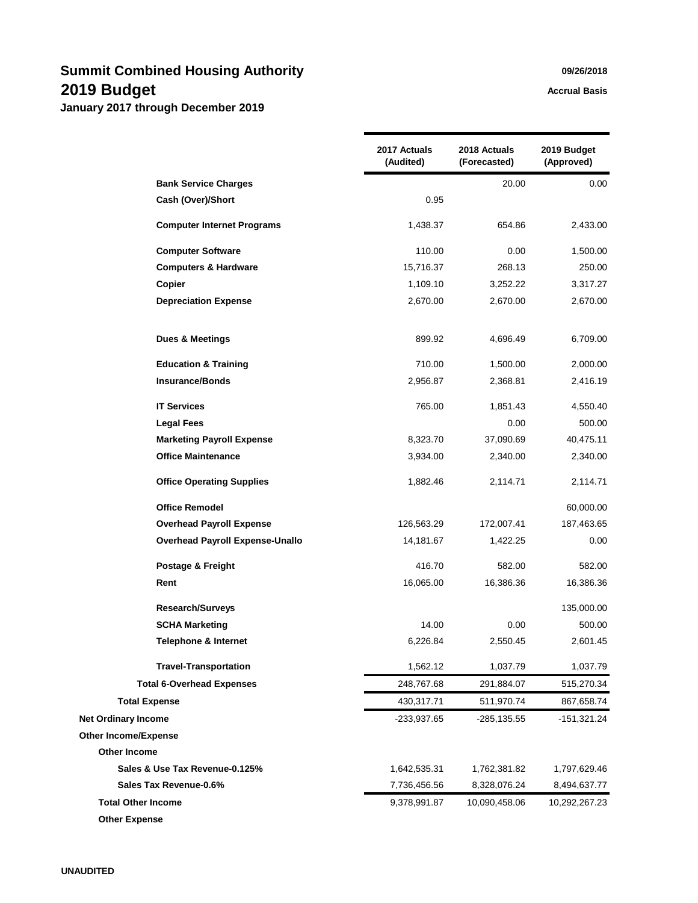**January 2017 through December 2019**

|                                        | 2017 Actuals<br>(Audited) | 2018 Actuals<br>(Forecasted) | 2019 Budget<br>(Approved) |
|----------------------------------------|---------------------------|------------------------------|---------------------------|
| <b>Bank Service Charges</b>            |                           | 20.00                        | 0.00                      |
| Cash (Over)/Short                      | 0.95                      |                              |                           |
| <b>Computer Internet Programs</b>      | 1,438.37                  | 654.86                       | 2,433.00                  |
| <b>Computer Software</b>               | 110.00                    | 0.00                         | 1,500.00                  |
| <b>Computers &amp; Hardware</b>        | 15,716.37                 | 268.13                       | 250.00                    |
| Copier                                 | 1,109.10                  | 3,252.22                     | 3,317.27                  |
| <b>Depreciation Expense</b>            | 2,670.00                  | 2,670.00                     | 2,670.00                  |
| <b>Dues &amp; Meetings</b>             | 899.92                    | 4,696.49                     | 6,709.00                  |
| <b>Education &amp; Training</b>        | 710.00                    | 1,500.00                     | 2,000.00                  |
| <b>Insurance/Bonds</b>                 | 2,956.87                  | 2,368.81                     | 2,416.19                  |
| <b>IT Services</b>                     | 765.00                    | 1,851.43                     | 4,550.40                  |
| <b>Legal Fees</b>                      |                           | 0.00                         | 500.00                    |
| <b>Marketing Payroll Expense</b>       | 8,323.70                  | 37,090.69                    | 40,475.11                 |
| <b>Office Maintenance</b>              | 3,934.00                  | 2,340.00                     | 2,340.00                  |
| <b>Office Operating Supplies</b>       | 1,882.46                  | 2,114.71                     | 2,114.71                  |
| <b>Office Remodel</b>                  |                           |                              | 60,000.00                 |
| <b>Overhead Payroll Expense</b>        | 126,563.29                | 172,007.41                   | 187,463.65                |
| <b>Overhead Payroll Expense-Unallo</b> | 14,181.67                 | 1,422.25                     | 0.00                      |
| Postage & Freight                      | 416.70                    | 582.00                       | 582.00                    |
| Rent                                   | 16,065.00                 | 16,386.36                    | 16,386.36                 |
| <b>Research/Surveys</b>                |                           |                              | 135,000.00                |
| <b>SCHA Marketing</b>                  | 14.00                     | 0.00                         | 500.00                    |
| <b>Telephone &amp; Internet</b>        | 6,226.84                  | 2,550.45                     | 2,601.45                  |
| <b>Travel-Transportation</b>           | 1,562.12                  | 1,037.79                     | 1,037.79                  |
| <b>Total 6-Overhead Expenses</b>       | 248,767.68                | 291,884.07                   | 515,270.34                |
| <b>Total Expense</b>                   | 430,317.71                | 511,970.74                   | 867,658.74                |
| <b>Net Ordinary Income</b>             | -233,937.65               | -285,135.55                  | -151,321.24               |
| <b>Other Income/Expense</b>            |                           |                              |                           |
| <b>Other Income</b>                    |                           |                              |                           |
| Sales & Use Tax Revenue-0.125%         | 1,642,535.31              | 1,762,381.82                 | 1,797,629.46              |
| Sales Tax Revenue-0.6%                 | 7,736,456.56              | 8,328,076.24                 | 8,494,637.77              |
| <b>Total Other Income</b>              | 9,378,991.87              | 10,090,458.06                | 10,292,267.23             |
| <b>Other Expense</b>                   |                           |                              |                           |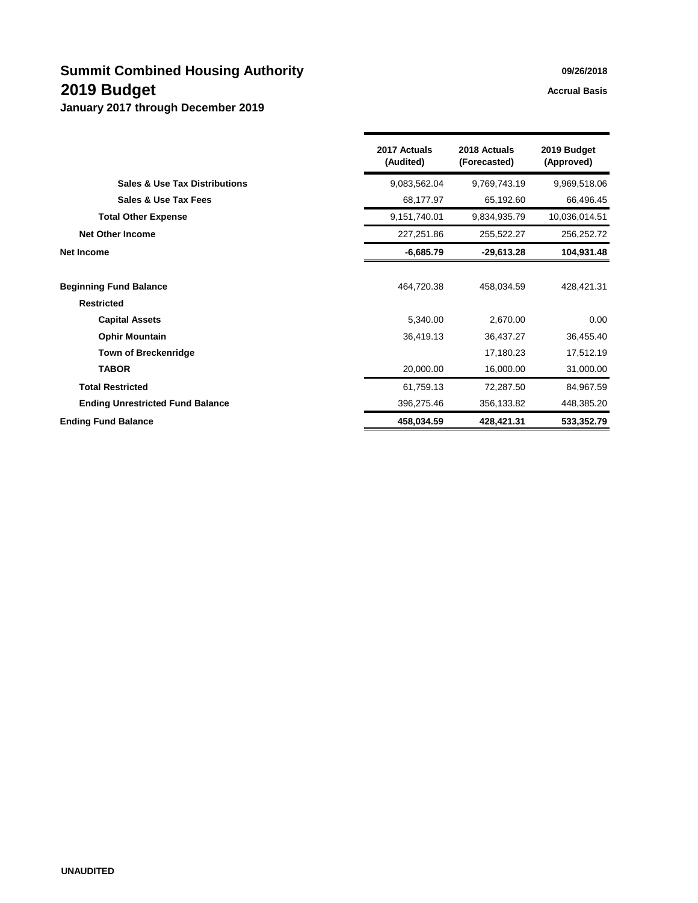|                                          | 2017 Actuals<br>(Audited) | 2018 Actuals<br>(Forecasted) | 2019 Budget<br>(Approved) |
|------------------------------------------|---------------------------|------------------------------|---------------------------|
| <b>Sales &amp; Use Tax Distributions</b> | 9,083,562.04              | 9,769,743.19                 | 9,969,518.06              |
| Sales & Use Tax Fees                     | 68,177.97                 | 65,192.60                    | 66,496.45                 |
| <b>Total Other Expense</b>               | 9,151,740.01              | 9,834,935.79                 | 10,036,014.51             |
| <b>Net Other Income</b>                  | 227,251.86                | 255,522.27                   | 256,252.72                |
| <b>Net Income</b>                        | $-6,685.79$               | $-29,613.28$                 | 104,931.48                |
| <b>Beginning Fund Balance</b>            | 464,720.38                | 458,034.59                   | 428,421.31                |
| <b>Restricted</b>                        |                           |                              |                           |
| <b>Capital Assets</b>                    | 5,340.00                  | 2,670.00                     | 0.00                      |
| <b>Ophir Mountain</b>                    | 36,419.13                 | 36,437.27                    | 36,455.40                 |
| <b>Town of Breckenridge</b>              |                           | 17,180.23                    | 17,512.19                 |
| <b>TABOR</b>                             | 20,000.00                 | 16,000.00                    | 31,000.00                 |
| <b>Total Restricted</b>                  | 61,759.13                 | 72,287.50                    | 84,967.59                 |
| <b>Ending Unrestricted Fund Balance</b>  | 396,275.46                | 356,133.82                   | 448,385.20                |
| <b>Ending Fund Balance</b>               | 458,034.59                | 428,421.31                   | 533,352.79                |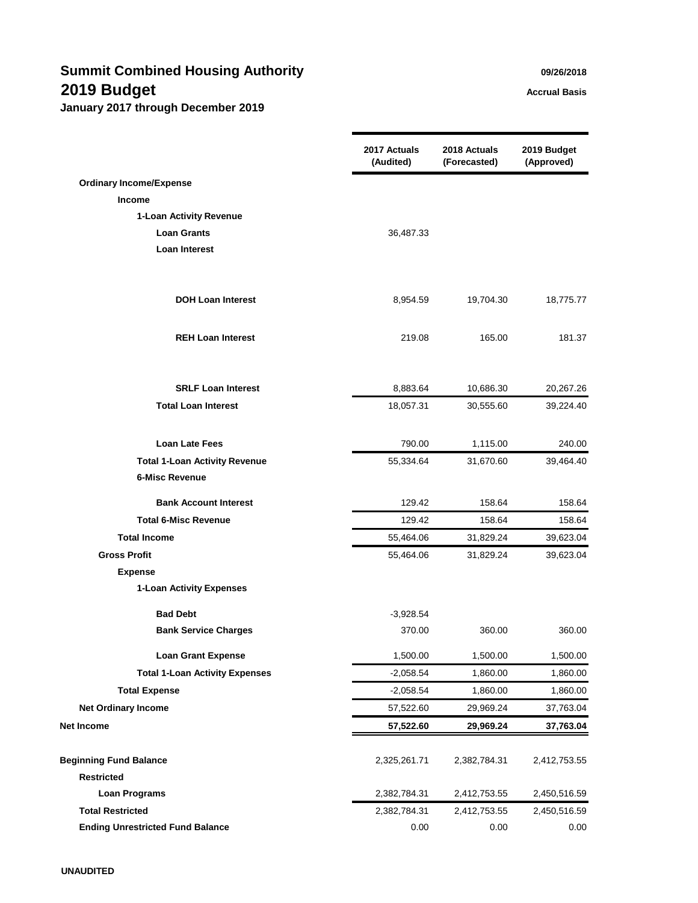# **Summit Combined Housing Authority Combined Housing Authority 2019 Budget Accrual Basis**

|                                         | 2017 Actuals<br>(Audited) | 2018 Actuals<br>(Forecasted) | 2019 Budget<br>(Approved) |
|-----------------------------------------|---------------------------|------------------------------|---------------------------|
| <b>Ordinary Income/Expense</b>          |                           |                              |                           |
| <b>Income</b>                           |                           |                              |                           |
| 1-Loan Activity Revenue                 |                           |                              |                           |
| <b>Loan Grants</b>                      | 36,487.33                 |                              |                           |
| <b>Loan Interest</b>                    |                           |                              |                           |
| <b>DOH Loan Interest</b>                | 8,954.59                  | 19,704.30                    | 18,775.77                 |
| <b>REH Loan Interest</b>                | 219.08                    | 165.00                       | 181.37                    |
| <b>SRLF Loan Interest</b>               | 8,883.64                  | 10,686.30                    | 20,267.26                 |
| <b>Total Loan Interest</b>              | 18,057.31                 | 30,555.60                    | 39,224.40                 |
| <b>Loan Late Fees</b>                   | 790.00                    | 1,115.00                     | 240.00                    |
| <b>Total 1-Loan Activity Revenue</b>    | 55,334.64                 | 31,670.60                    | 39,464.40                 |
| <b>6-Misc Revenue</b>                   |                           |                              |                           |
| <b>Bank Account Interest</b>            | 129.42                    | 158.64                       | 158.64                    |
| <b>Total 6-Misc Revenue</b>             | 129.42                    | 158.64                       | 158.64                    |
| <b>Total Income</b>                     | 55,464.06                 | 31,829.24                    | 39,623.04                 |
| <b>Gross Profit</b>                     | 55,464.06                 | 31,829.24                    | 39,623.04                 |
| <b>Expense</b>                          |                           |                              |                           |
| 1-Loan Activity Expenses                |                           |                              |                           |
| <b>Bad Debt</b>                         | $-3,928.54$               |                              |                           |
| <b>Bank Service Charges</b>             | 370.00                    | 360.00                       | 360.00                    |
| <b>Loan Grant Expense</b>               | 1,500.00                  | 1,500.00                     | 1,500.00                  |
| <b>Total 1-Loan Activity Expenses</b>   | $-2,058.54$               | 1,860.00                     | 1,860.00                  |
| <b>Total Expense</b>                    | $-2,058.54$               | 1,860.00                     | 1,860.00                  |
| <b>Net Ordinary Income</b>              | 57,522.60                 | 29,969.24                    | 37,763.04                 |
| Net Income                              | 57,522.60                 | 29,969.24                    | 37,763.04                 |
| <b>Beginning Fund Balance</b>           | 2,325,261.71              | 2,382,784.31                 | 2,412,753.55              |
| <b>Restricted</b>                       |                           |                              |                           |
| <b>Loan Programs</b>                    | 2,382,784.31              | 2,412,753.55                 | 2,450,516.59              |
| <b>Total Restricted</b>                 | 2,382,784.31              | 2,412,753.55                 | 2,450,516.59              |
| <b>Ending Unrestricted Fund Balance</b> | 0.00                      | 0.00                         | 0.00                      |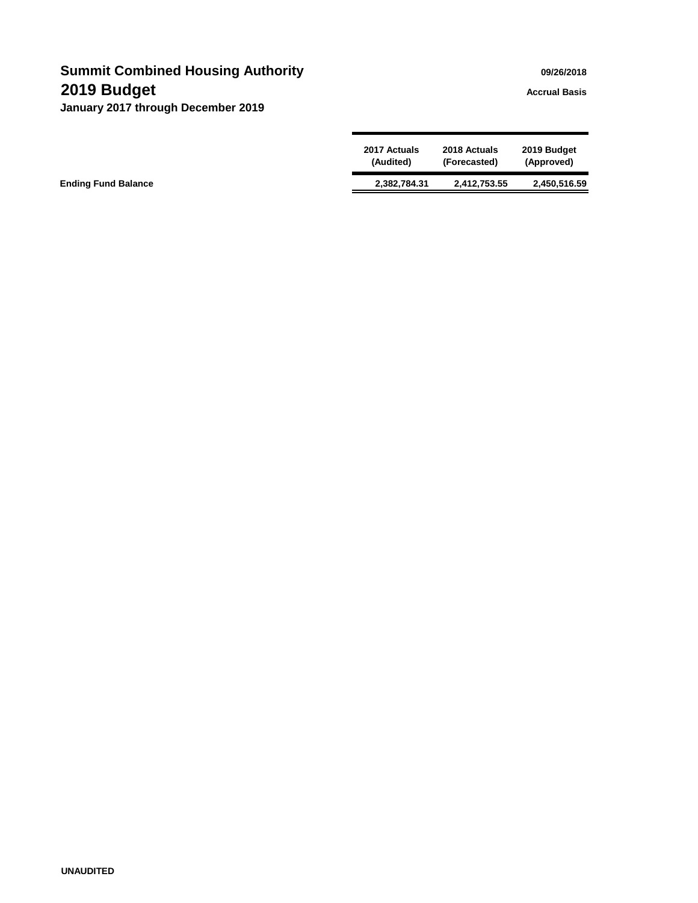# **Summit Combined Housing Authority Combined Housing Authority Combined Manual Authority Combined Manual Authority 2019 Budget Accrual Basis**

|                            | 2017 Actuals | 2018 Actuals | 2019 Budget  |
|----------------------------|--------------|--------------|--------------|
|                            | (Audited)    | (Forecasted) | (Approved)   |
| <b>Ending Fund Balance</b> | 2,382,784.31 | 2,412,753.55 | 2,450,516.59 |